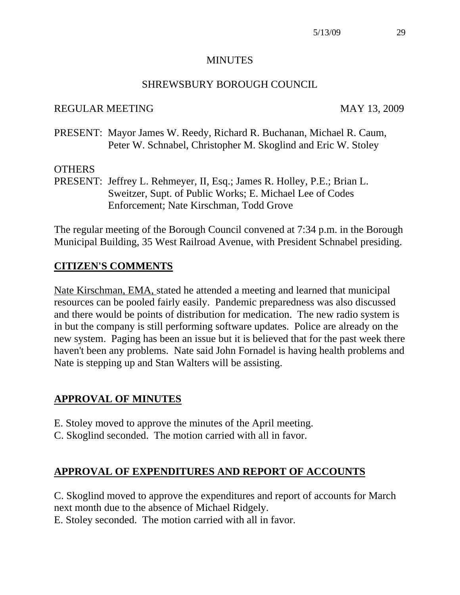#### **MINUTES**

## SHREWSBURY BOROUGH COUNCIL

#### REGULAR MEETING MAY 13, 2009

PRESENT: Mayor James W. Reedy, Richard R. Buchanan, Michael R. Caum, Peter W. Schnabel, Christopher M. Skoglind and Eric W. Stoley

#### **OTHERS**

PRESENT: Jeffrey L. Rehmeyer, II, Esq.; James R. Holley, P.E.; Brian L. Sweitzer, Supt. of Public Works; E. Michael Lee of Codes Enforcement; Nate Kirschman, Todd Grove

The regular meeting of the Borough Council convened at 7:34 p.m. in the Borough Municipal Building, 35 West Railroad Avenue, with President Schnabel presiding.

## **CITIZEN'S COMMENTS**

Nate Kirschman, EMA, stated he attended a meeting and learned that municipal resources can be pooled fairly easily. Pandemic preparedness was also discussed and there would be points of distribution for medication. The new radio system is in but the company is still performing software updates. Police are already on the new system. Paging has been an issue but it is believed that for the past week there haven't been any problems. Nate said John Fornadel is having health problems and Nate is stepping up and Stan Walters will be assisting.

## **APPROVAL OF MINUTES**

- E. Stoley moved to approve the minutes of the April meeting.
- C. Skoglind seconded. The motion carried with all in favor.

## **APPROVAL OF EXPENDITURES AND REPORT OF ACCOUNTS**

C. Skoglind moved to approve the expenditures and report of accounts for March next month due to the absence of Michael Ridgely. E. Stoley seconded. The motion carried with all in favor.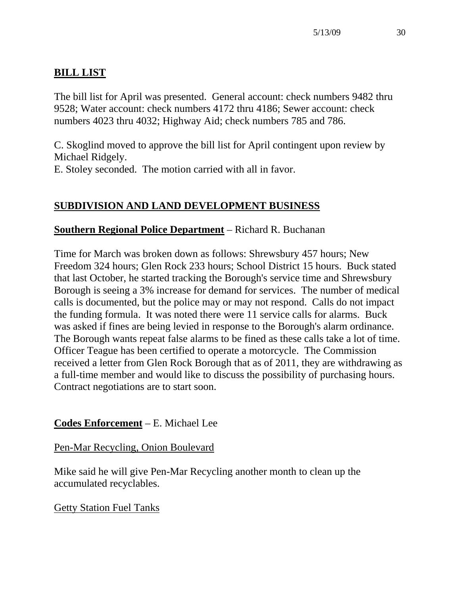# **BILL LIST**

The bill list for April was presented. General account: check numbers 9482 thru 9528; Water account: check numbers 4172 thru 4186; Sewer account: check numbers 4023 thru 4032; Highway Aid; check numbers 785 and 786.

C. Skoglind moved to approve the bill list for April contingent upon review by Michael Ridgely.

E. Stoley seconded. The motion carried with all in favor.

# **SUBDIVISION AND LAND DEVELOPMENT BUSINESS**

## **Southern Regional Police Department** – Richard R. Buchanan

Time for March was broken down as follows: Shrewsbury 457 hours; New Freedom 324 hours; Glen Rock 233 hours; School District 15 hours. Buck stated that last October, he started tracking the Borough's service time and Shrewsbury Borough is seeing a 3% increase for demand for services. The number of medical calls is documented, but the police may or may not respond. Calls do not impact the funding formula. It was noted there were 11 service calls for alarms. Buck was asked if fines are being levied in response to the Borough's alarm ordinance. The Borough wants repeat false alarms to be fined as these calls take a lot of time. Officer Teague has been certified to operate a motorcycle. The Commission received a letter from Glen Rock Borough that as of 2011, they are withdrawing as a full-time member and would like to discuss the possibility of purchasing hours. Contract negotiations are to start soon.

## **Codes Enforcement** – E. Michael Lee

## Pen-Mar Recycling, Onion Boulevard

Mike said he will give Pen-Mar Recycling another month to clean up the accumulated recyclables.

## Getty Station Fuel Tanks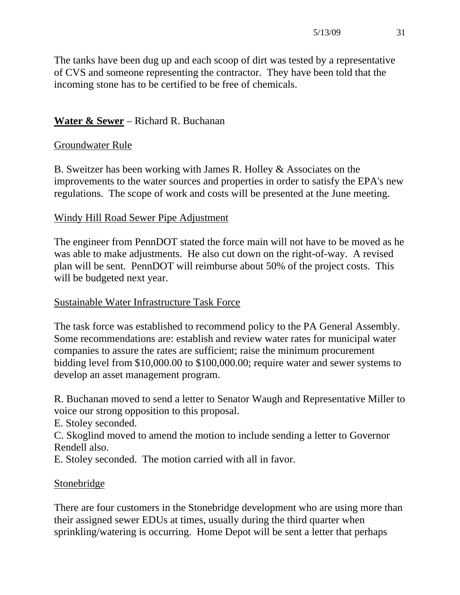The tanks have been dug up and each scoop of dirt was tested by a representative of CVS and someone representing the contractor. They have been told that the incoming stone has to be certified to be free of chemicals.

# **Water & Sewer** – Richard R. Buchanan

## Groundwater Rule

B. Sweitzer has been working with James R. Holley & Associates on the improvements to the water sources and properties in order to satisfy the EPA's new regulations. The scope of work and costs will be presented at the June meeting.

## Windy Hill Road Sewer Pipe Adjustment

The engineer from PennDOT stated the force main will not have to be moved as he was able to make adjustments. He also cut down on the right-of-way. A revised plan will be sent. PennDOT will reimburse about 50% of the project costs. This will be budgeted next year.

## Sustainable Water Infrastructure Task Force

The task force was established to recommend policy to the PA General Assembly. Some recommendations are: establish and review water rates for municipal water companies to assure the rates are sufficient; raise the minimum procurement bidding level from \$10,000.00 to \$100,000.00; require water and sewer systems to develop an asset management program.

R. Buchanan moved to send a letter to Senator Waugh and Representative Miller to voice our strong opposition to this proposal.

E. Stoley seconded.

C. Skoglind moved to amend the motion to include sending a letter to Governor Rendell also.

E. Stoley seconded. The motion carried with all in favor.

## Stonebridge

There are four customers in the Stonebridge development who are using more than their assigned sewer EDUs at times, usually during the third quarter when sprinkling/watering is occurring. Home Depot will be sent a letter that perhaps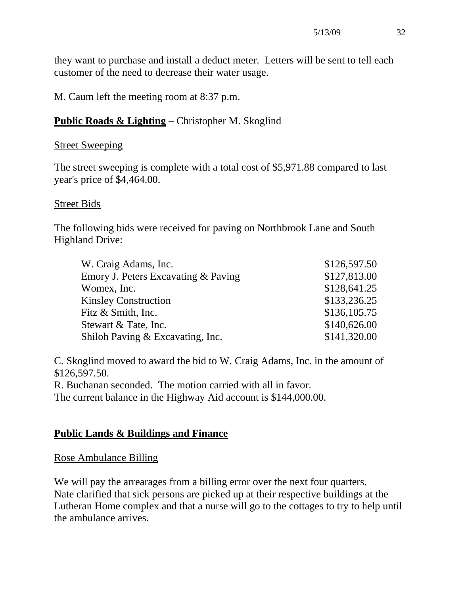they want to purchase and install a deduct meter. Letters will be sent to tell each customer of the need to decrease their water usage.

M. Caum left the meeting room at 8:37 p.m.

## **Public Roads & Lighting** – Christopher M. Skoglind

#### Street Sweeping

The street sweeping is complete with a total cost of \$5,971.88 compared to last year's price of \$4,464.00.

#### Street Bids

The following bids were received for paving on Northbrook Lane and South Highland Drive:

| W. Craig Adams, Inc.                | \$126,597.50 |
|-------------------------------------|--------------|
| Emory J. Peters Excavating & Paving | \$127,813.00 |
| Womex, Inc.                         | \$128,641.25 |
| <b>Kinsley Construction</b>         | \$133,236.25 |
| Fitz & Smith, Inc.                  | \$136,105.75 |
| Stewart & Tate, Inc.                | \$140,626.00 |
| Shiloh Paving & Excavating, Inc.    | \$141,320.00 |

C. Skoglind moved to award the bid to W. Craig Adams, Inc. in the amount of \$126,597.50.

R. Buchanan seconded. The motion carried with all in favor. The current balance in the Highway Aid account is \$144,000.00.

## **Public Lands & Buildings and Finance**

#### Rose Ambulance Billing

We will pay the arrearages from a billing error over the next four quarters. Nate clarified that sick persons are picked up at their respective buildings at the Lutheran Home complex and that a nurse will go to the cottages to try to help until the ambulance arrives.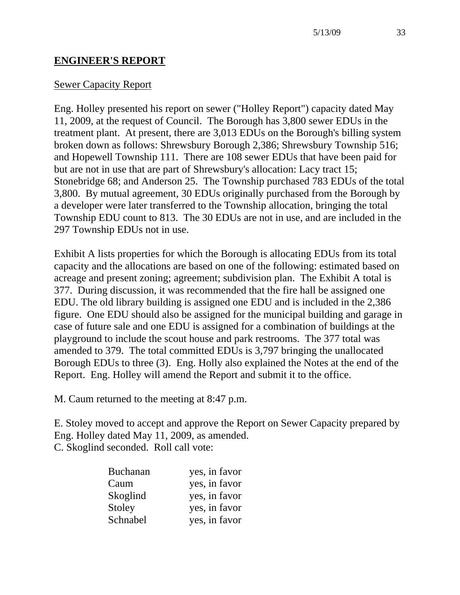## **ENGINEER'S REPORT**

#### Sewer Capacity Report

Eng. Holley presented his report on sewer ("Holley Report") capacity dated May 11, 2009, at the request of Council. The Borough has 3,800 sewer EDUs in the treatment plant. At present, there are 3,013 EDUs on the Borough's billing system broken down as follows: Shrewsbury Borough 2,386; Shrewsbury Township 516; and Hopewell Township 111. There are 108 sewer EDUs that have been paid for but are not in use that are part of Shrewsbury's allocation: Lacy tract 15; Stonebridge 68; and Anderson 25. The Township purchased 783 EDUs of the total 3,800. By mutual agreement, 30 EDUs originally purchased from the Borough by a developer were later transferred to the Township allocation, bringing the total Township EDU count to 813. The 30 EDUs are not in use, and are included in the 297 Township EDUs not in use.

Exhibit A lists properties for which the Borough is allocating EDUs from its total capacity and the allocations are based on one of the following: estimated based on acreage and present zoning; agreement; subdivision plan. The Exhibit A total is 377. During discussion, it was recommended that the fire hall be assigned one EDU. The old library building is assigned one EDU and is included in the 2,386 figure. One EDU should also be assigned for the municipal building and garage in case of future sale and one EDU is assigned for a combination of buildings at the playground to include the scout house and park restrooms. The 377 total was amended to 379. The total committed EDUs is 3,797 bringing the unallocated Borough EDUs to three (3). Eng. Holly also explained the Notes at the end of the Report. Eng. Holley will amend the Report and submit it to the office.

M. Caum returned to the meeting at 8:47 p.m.

E. Stoley moved to accept and approve the Report on Sewer Capacity prepared by Eng. Holley dated May 11, 2009, as amended. C. Skoglind seconded. Roll call vote:

| <b>Buchanan</b> | yes, in favor |
|-----------------|---------------|
| Caum            | yes, in favor |
| Skoglind        | yes, in favor |
| Stoley          | yes, in favor |
| Schnabel        | yes, in favor |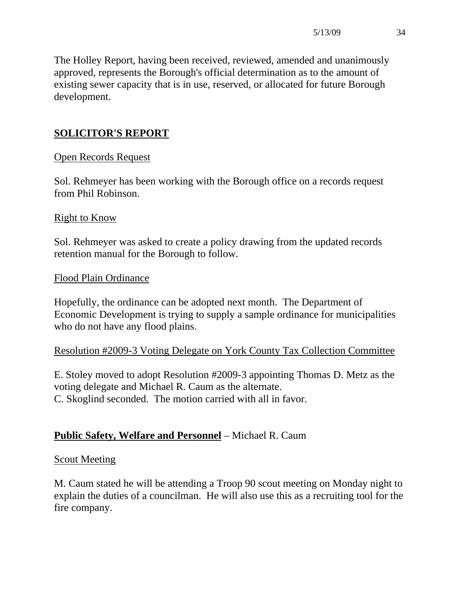The Holley Report, having been received, reviewed, amended and unanimously approved, represents the Borough's official determination as to the amount of existing sewer capacity that is in use, reserved, or allocated for future Borough development.

# **SOLICITOR'S REPORT**

## Open Records Request

Sol. Rehmeyer has been working with the Borough office on a records request from Phil Robinson.

#### Right to Know

Sol. Rehmeyer was asked to create a policy drawing from the updated records retention manual for the Borough to follow.

## Flood Plain Ordinance

Hopefully, the ordinance can be adopted next month. The Department of Economic Development is trying to supply a sample ordinance for municipalities who do not have any flood plains.

## Resolution #2009-3 Voting Delegate on York County Tax Collection Committee

E. Stoley moved to adopt Resolution #2009-3 appointing Thomas D. Metz as the voting delegate and Michael R. Caum as the alternate. C. Skoglind seconded. The motion carried with all in favor.

## **Public Safety, Welfare and Personnel** – Michael R. Caum

## **Scout Meeting**

M. Caum stated he will be attending a Troop 90 scout meeting on Monday night to explain the duties of a councilman. He will also use this as a recruiting tool for the fire company.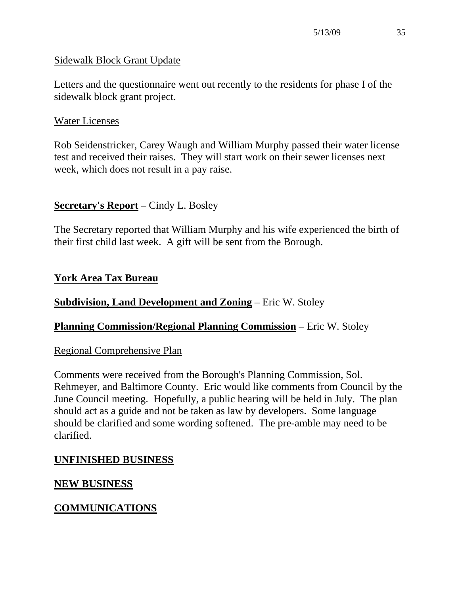## Sidewalk Block Grant Update

Letters and the questionnaire went out recently to the residents for phase I of the sidewalk block grant project.

## Water Licenses

Rob Seidenstricker, Carey Waugh and William Murphy passed their water license test and received their raises. They will start work on their sewer licenses next week, which does not result in a pay raise.

## **Secretary's Report** – Cindy L. Bosley

The Secretary reported that William Murphy and his wife experienced the birth of their first child last week. A gift will be sent from the Borough.

## **York Area Tax Bureau**

## **Subdivision, Land Development and Zoning** – Eric W. Stoley

## **Planning Commission/Regional Planning Commission** – Eric W. Stoley

## Regional Comprehensive Plan

Comments were received from the Borough's Planning Commission, Sol. Rehmeyer, and Baltimore County. Eric would like comments from Council by the June Council meeting. Hopefully, a public hearing will be held in July. The plan should act as a guide and not be taken as law by developers. Some language should be clarified and some wording softened. The pre-amble may need to be clarified.

## **UNFINISHED BUSINESS**

## **NEW BUSINESS**

## **COMMUNICATIONS**